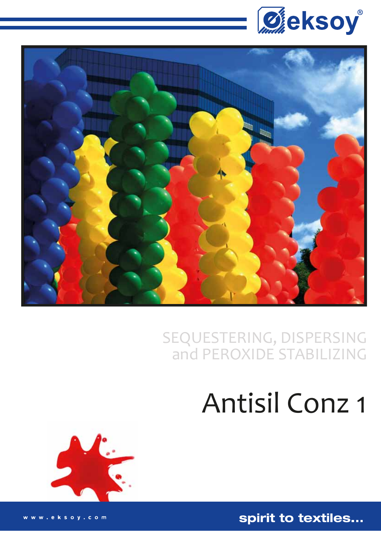



# SEQUESTERING, DISPERSING<br>and PEROXIDE STABILIZING

## **Antisil Conz 1**



spirit to textiles...

www.eksoy.com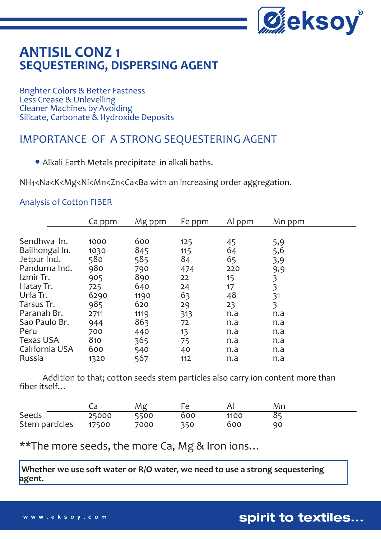

## **ANTISIL CONZ 1 SEQUESTERING, DISPERSING AGENT**

Brighter Colors & Better Fastness Less Crease & Unlevelling Cleaner Machines by Avoiding Silicate, Carbonate & Hydroxide Deposits

## IMPORTANCE OF A STRONG SEQUESTERING AGENT

Alkali Earth Metals precipitate in alkali baths.

NH4<Na<K<Mg<Ni<Mn<Zn<Ca<Ba with an increasing order aggregation.

#### Analysis of Cotton FIBER

|                  | Ca ppm | Mg ppm | Fe ppm | Al ppm | Mn ppm |
|------------------|--------|--------|--------|--------|--------|
|                  |        |        |        |        |        |
| Sendhwa In.      | 1000   | 600    | 125    | 45     | 5,9    |
| Bailhongal In.   | 1030   | 845    | 115    | 64     | 5,6    |
| Jetpur Ind.      | 580    | 585    | 84     | 65     | 3,9    |
| Pandurna Ind.    | 980    | 790    | 474    | 220    | 9,9    |
| Izmir Tr.        | 905    | 890    | 22     | 15     | 3      |
| Hatay Tr.        | 725    | 640    | 24     | 17     | 3      |
| Urfa Tr.         | 6290   | 1190   | 63     | 48     | 31     |
| Tarsus Tr.       | 985    | 620    | 29     | 23     | 3      |
| Paranah Br.      | 2711   | 1119   | 313    | n.a    | n.a    |
| Sao Paulo Br.    | 944    | 863    | 72     | n.a    | n.a    |
| Peru             | 700    | 440    | 13     | n.a    | n.a    |
| <b>Texas USA</b> | 810    | 365    | 75     | n.a    | n.a    |
| California USA   | 600    | 540    | 40     | n.a    | n.a    |
| Russia           | 1320   | 567    | 112    | n.a    | n.a    |

 Addition to that; cotton seeds stem particles also carry ion content more than fiber itself…

|                |       | Mg   |     |      | Mn |
|----------------|-------|------|-----|------|----|
| Seeds          | 25000 | 5500 | 600 | 1100 |    |
| Stem particles | 17500 | 7000 | 350 | 600  | 90 |

\*\*The more seeds, the more Ca, Mg & Iron ions…

 **Whether we use soft water or R/O water, we need to use a strong sequestering agent.**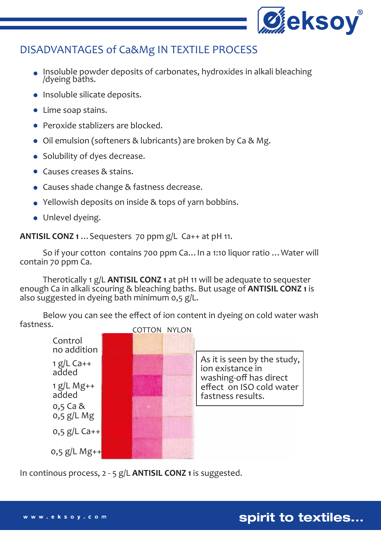

### DISADVANTAGES of Ca&Mg IN TEXTILE PROCESS

- Insoluble powder deposits of carbonates, hydroxides in alkali bleaching /dyeing baths.
- Insoluble silicate deposits.
- Lime soap stains.
- Peroxide stablizers are blocked.
- Oil emulsion (softeners & lubricants) are broken by Ca & Mg.
- Solubility of dyes decrease.
- Causes creases & stains.
- Causes shade change & fastness decrease.
- Yellowish deposits on inside & tops of yarn bobbins.
- Unlevel dyeing.

**ANTISIL CONZ 1** …Sequesters 70 ppm g/L Ca++ at pH 11.

 So if your cotton contains 700 ppm Ca…In a 1:10 liquor ratio …Water will contain 70 ppm Ca.

 Therotically 1 g/L **ANTISIL CONZ 1** at pH 11 will be adequate to sequester enough Ca in alkali scouring & bleaching baths. But usage of **ANTISIL CONZ 1** is also suggested in dyeing bath minimum 0,5 g/L.

 Below you can see the effect of ion content in dyeing on cold water wash fastness.



In continous process, 2 - 5 g/L **ANTISIL CONZ 1** is suggested.

spirit to textiles...